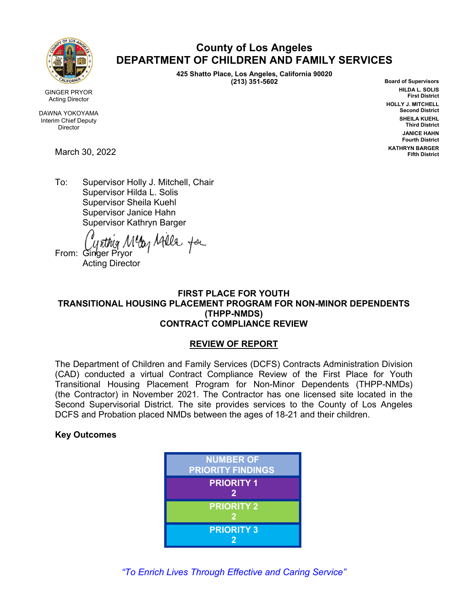

GINGER PRYOR Acting Director

DAWNA YOKOYAMA Interim Chief Deputy Director

March 30, 2022

# **County of Los Angeles DEPARTMENT OF CHILDREN AND FAMILY SERVICES**

**425 Shatto Place, Los Angeles, California 90020 (213) 351-5602**

**Board of Supervisors HILDA L. SOLIS First District HOLLY J. MITCHELL Second District SHEILA KUEHL Third District JANICE HAHN Fourth District KATHRYN BARGER Fifth District**

To: Supervisor Holly J. Mitchell, Chair Supervisor Hilda L. Solis Supervisor Sheila Kuehl Supervisor Janice Hahn Supervisor Kathryn Barger

From: Cynthig Meg Afelle for

Acting Director

# **FIRST PLACE FOR YOUTH TRANSITIONAL HOUSING PLACEMENT PROGRAM FOR NON-MINOR DEPENDENTS (THPP-NMDS) CONTRACT COMPLIANCE REVIEW**

# **REVIEW OF REPORT**

The Department of Children and Family Services (DCFS) Contracts Administration Division (CAD) conducted a virtual Contract Compliance Review of the First Place for Youth Transitional Housing Placement Program for Non-Minor Dependents (THPP-NMDs) (the Contractor) in November 2021. The Contractor has one licensed site located in the Second Supervisorial District. The site provides services to the County of Los Angeles DCFS and Probation placed NMDs between the ages of 18-21 and their children.

# **Key Outcomes**



*"To Enrich Lives Through Effective and Caring Service"*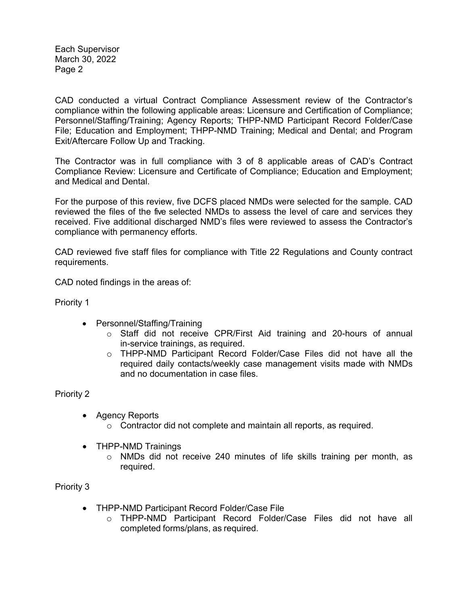Each Supervisor March 30, 2022 Page 2

CAD conducted a virtual Contract Compliance Assessment review of the Contractor's compliance within the following applicable areas: Licensure and Certification of Compliance; Personnel/Staffing/Training; Agency Reports; THPP-NMD Participant Record Folder/Case File; Education and Employment; THPP-NMD Training; Medical and Dental; and Program Exit/Aftercare Follow Up and Tracking.

The Contractor was in full compliance with 3 of 8 applicable areas of CAD's Contract Compliance Review: Licensure and Certificate of Compliance; Education and Employment; and Medical and Dental.

For the purpose of this review, five DCFS placed NMDs were selected for the sample. CAD reviewed the files of the five selected NMDs to assess the level of care and services they received. Five additional discharged NMD's files were reviewed to assess the Contractor's compliance with permanency efforts.

CAD reviewed five staff files for compliance with Title 22 Regulations and County contract requirements.

CAD noted findings in the areas of:

Priority 1

- Personnel/Staffing/Training
	- $\circ$  Staff did not receive CPR/First Aid training and 20-hours of annual in-service trainings, as required.
	- o THPP-NMD Participant Record Folder/Case Files did not have all the required daily contacts/weekly case management visits made with NMDs and no documentation in case files.

Priority 2

- Agency Reports
	- o Contractor did not complete and maintain all reports, as required.
- THPP-NMD Trainings
	- o NMDs did not receive 240 minutes of life skills training per month, as required.

Priority 3

- THPP-NMD Participant Record Folder/Case File
	- o THPP-NMD Participant Record Folder/Case Files did not have all completed forms/plans, as required.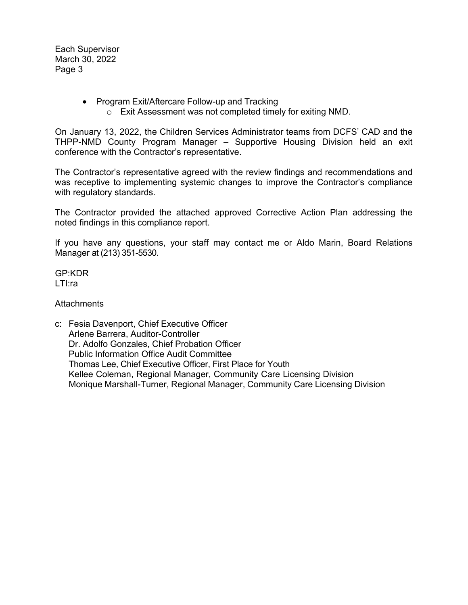Each Supervisor March 30, 2022 Page 3

- Program Exit/Aftercare Follow-up and Tracking
	- o Exit Assessment was not completed timely for exiting NMD.

On January 13, 2022, the Children Services Administrator teams from DCFS' CAD and the THPP-NMD County Program Manager – Supportive Housing Division held an exit conference with the Contractor's representative.

The Contractor's representative agreed with the review findings and recommendations and was receptive to implementing systemic changes to improve the Contractor's compliance with regulatory standards.

The Contractor provided the attached approved Corrective Action Plan addressing the noted findings in this compliance report.

If you have any questions, your staff may contact me or Aldo Marin, Board Relations Manager at (213) 351-5530.

GP:KDR LTI:ra

# **Attachments**

c: Fesia Davenport, Chief Executive Officer Arlene Barrera, Auditor-Controller Dr. Adolfo Gonzales, Chief Probation Officer Public Information Office Audit Committee Thomas Lee, Chief Executive Officer, First Place for Youth Kellee Coleman, Regional Manager, Community Care Licensing Division Monique Marshall-Turner, Regional Manager, Community Care Licensing Division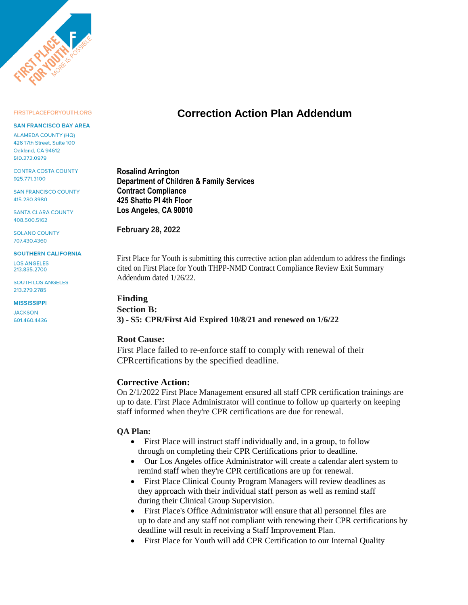

#### FIRSTPLACEFORYOUTH.ORG

#### **SAN FRANCISCO BAY AREA**

**ALAMEDA COUNTY (HQ)** 426 17th Street, Suite 100 Oakland CA 94612 510.272.0979

**CONTRA COSTA COUNTY** 925.771.3100

**SAN FRANCISCO COUNTY** 415.230.3980

**SANTA CLARA COUNTY** 408.500.5162

**SOLANO COUNTY** 707.430.4360

#### **SOUTHERN CALIFORNIA**

**LOS ANGELES** 213.835.2700

**SOUTH LOS ANGELES** 213.279.2785

# **MISSISSIPPI**

**JACKSON** 601.460.4436

# **Correction Action Plan Addendum**

**Rosalind Arrington Department of Children & Family Services Contract Compliance 425 Shatto Pl 4th Floor Los Angeles, CA 90010**

**February 28, 2022**

First Place for Youth is submitting this corrective action plan addendum to address the findings cited on First Place for Youth THPP-NMD Contract Compliance Review Exit Summary Addendum dated 1/26/22.

#### **Finding**

# **Section B: 3) - S5: CPR/First Aid Expired 10/8/21 and renewed on 1/6/22**

# **Root Cause:**

First Place failed to re-enforce staff to comply with renewal of their CPRcertifications by the specified deadline.

# **Corrective Action:**

On 2/1/2022 First Place Management ensured all staff CPR certification trainings are up to date. First Place Administrator will continue to follow up quarterly on keeping staff informed when they're CPR certifications are due for renewal.

- First Place will instruct staff individually and, in a group, to follow through on completing their CPR Certifications prior to deadline.
- Our Los Angeles office Administrator will create a calendar alert system to remind staff when they're CPR certifications are up for renewal.
- First Place Clinical County Program Managers will review deadlines as they approach with their individual staff person as well as remind staff during their Clinical Group Supervision.
- First Place's Office Administrator will ensure that all personnel files are up to date and any staff not compliant with renewing their CPR certifications by deadline will result in receiving a Staff Improvement Plan.
- First Place for Youth will add CPR Certification to our Internal Quality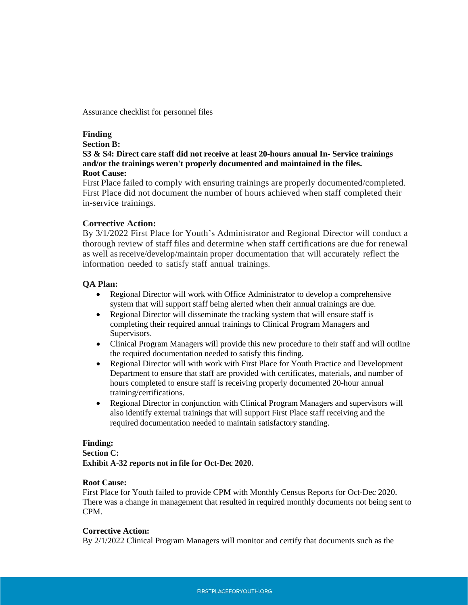Assurance checklist for personnel files

# **Finding**

# **Section B:**

**S3 & S4: Direct care staff did not receive at least 20-hours annual In- Service trainings and/or the trainings weren't properly documented and maintained in the files. Root Cause:** 

First Place failed to comply with ensuring trainings are properly documented/completed. First Place did not document the number of hours achieved when staff completed their in-service trainings.

# **Corrective Action:**

By 3/1/2022 First Place for Youth's Administrator and Regional Director will conduct a thorough review of staff files and determine when staff certifications are due for renewal as well as receive/develop/maintain proper documentation that will accurately reflect the information needed to satisfy staff annual trainings.

# **QA Plan:**

- Regional Director will work with Office Administrator to develop a comprehensive system that will support staff being alerted when their annual trainings are due.
- Regional Director will disseminate the tracking system that will ensure staff is completing their required annual trainings to Clinical Program Managers and Supervisors.
- Clinical Program Managers will provide this new procedure to their staff and will outline the required documentation needed to satisfy this finding.
- Regional Director will with work with First Place for Youth Practice and Development Department to ensure that staff are provided with certificates, materials, and number of hours completed to ensure staff is receiving properly documented 20-hour annual training/certifications.
- Regional Director in conjunction with Clinical Program Managers and supervisors will also identify external trainings that will support First Place staff receiving and the required documentation needed to maintain satisfactory standing.

# **Finding:**

# **Section C:**

**Exhibit A-32 reports not in file for Oct-Dec 2020.**

# **Root Cause:**

First Place for Youth failed to provide CPM with Monthly Census Reports for Oct-Dec 2020. There was a change in management that resulted in required monthly documents not being sent to CPM.

#### **Corrective Action:**

By 2/1/2022 Clinical Program Managers will monitor and certify that documents such as the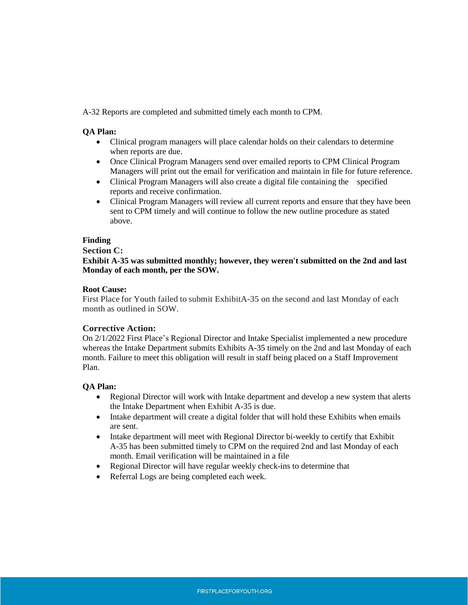A-32 Reports are completed and submitted timely each month to CPM.

### **QA Plan:**

- Clinical program managers will place calendar holds on their calendars to determine when reports are due.
- Once Clinical Program Managers send over emailed reports to CPM Clinical Program Managers will print out the email for verification and maintain in file for future reference.
- Clinical Program Managers will also create a digital file containing the specified reports and receive confirmation.
- Clinical Program Managers will review all current reports and ensure that they have been sent to CPM timely and will continue to follow the new outline procedure as stated above.

# **Finding**

#### **Section C:**

**Exhibit A-35 was submitted monthly; however, they weren't submitted on the 2nd and last Monday of each month, per the SOW.**

#### **Root Cause:**

First Place for Youth failed to submit ExhibitA-35 on the second and last Monday of each month as outlined in SOW.

#### **Corrective Action:**

On 2/1/2022 First Place's Regional Director and Intake Specialist implemented a new procedure whereas the Intake Department submits Exhibits A-35 timely on the 2nd and last Monday of each month. Failure to meet this obligation will result in staff being placed on a Staff Improvement Plan.

- Regional Director will work with Intake department and develop a new system that alerts the Intake Department when Exhibit A-35 is due.
- Intake department will create a digital folder that will hold these Exhibits when emails are sent.
- Intake department will meet with Regional Director bi-weekly to certify that Exhibit A-35 has been submitted timely to CPM on the required 2nd and last Monday of each month. Email verification will be maintained in a file
- Regional Director will have regular weekly check-ins to determine that
- Referral Logs are being completed each week.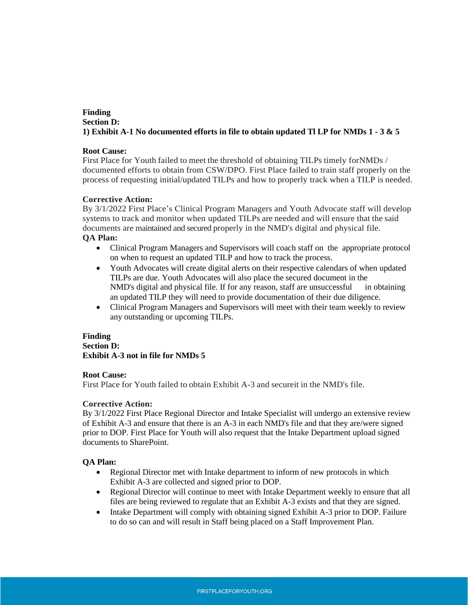# **Finding Section D: 1) Exhibit A-1 No documented efforts in file to obtain updated Tl LP for NMDs 1 - 3 & 5**

### **Root Cause:**

First Place for Youth failed to meet the threshold of obtaining TILPs timely forNMDs / documented efforts to obtain from CSW/DPO. First Place failed to train staff properly on the process of requesting initial/updated TILPs and how to properly track when a TILP is needed.

### **Corrective Action:**

By 3/1/2022 First Place's Clinical Program Managers and Youth Advocate staff will develop systems to track and monitor when updated TILPs are needed and will ensure that the said documents are maintained and secured properly in the NMD's digital and physical file. **QA Plan:** 

- Clinical Program Managers and Supervisors will coach staff on the appropriate protocol on when to request an updated TILP and how to track the process.
- Youth Advocates will create digital alerts on their respective calendars of when updated TILPs are due. Youth Advocates will also place the secured document in the NMD's digital and physical file. If for any reason, staff are unsuccessful in obtaining an updated TILP they will need to provide documentation of their due diligence.
- Clinical Program Managers and Supervisors will meet with their team weekly to review any outstanding or upcoming TILPs.

# **Finding**

# **Section D: Exhibit A-3 not in file for NMDs 5**

#### **Root Cause:**

First Place for Youth failed to obtain Exhibit A-3 and secureit in the NMD's file.

# **Corrective Action:**

By 3/1/2022 First Place Regional Director and Intake Specialist will undergo an extensive review of Exhibit A-3 and ensure that there is an A-3 in each NMD's file and that they are/were signed prior to DOP. First Place for Youth will also request that the Intake Department upload signed documents to SharePoint.

- Regional Director met with Intake department to inform of new protocols in which Exhibit A-3 are collected and signed prior to DOP.
- Regional Director will continue to meet with Intake Department weekly to ensure that all files are being reviewed to regulate that an Exhibit A-3 exists and that they are signed.
- Intake Department will comply with obtaining signed Exhibit A-3 prior to DOP. Failure to do so can and will result in Staff being placed on a Staff Improvement Plan.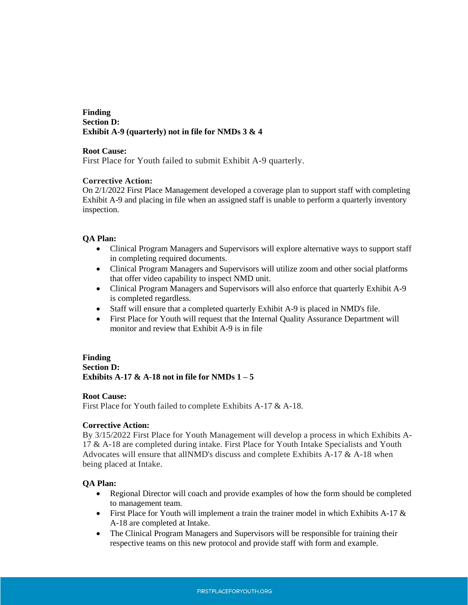# **Finding Section D: Exhibit A-9 (quarterly) not in file for NMDs 3 & 4**

#### **Root Cause:**

First Place for Youth failed to submit Exhibit A-9 quarterly.

# **Corrective Action:**

On 2/1/2022 First Place Management developed a coverage plan to support staff with completing Exhibit A-9 and placing in file when an assigned staff is unable to perform a quarterly inventory inspection.

# **QA Plan:**

- Clinical Program Managers and Supervisors will explore alternative ways to support staff in completing required documents.
- Clinical Program Managers and Supervisors will utilize zoom and other social platforms that offer video capability to inspect NMD unit.
- Clinical Program Managers and Supervisors will also enforce that quarterly Exhibit A-9 is completed regardless.
- Staff will ensure that a completed quarterly Exhibit A-9 is placed in NMD's file.
- First Place for Youth will request that the Internal Quality Assurance Department will monitor and review that Exhibit A-9 is in file

# **Finding Section D: Exhibits**  $A-17 \& A-18$  not in file for  $NMDs$   $1-5$

#### **Root Cause:**

First Place for Youth failed to complete Exhibits A-17 & A-18.

# **Corrective Action:**

By 3/15/2022 First Place for Youth Management will develop a process in which Exhibits A-17 & A-18 are completed during intake. First Place for Youth Intake Specialists and Youth Advocates will ensure that allNMD's discuss and complete Exhibits A-17 & A-18 when being placed at Intake.

- Regional Director will coach and provide examples of how the form should be completed to management team.
- First Place for Youth will implement a train the trainer model in which Exhibits A-17  $\&$ A-18 are completed at Intake.
- The Clinical Program Managers and Supervisors will be responsible for training their respective teams on this new protocol and provide staff with form and example.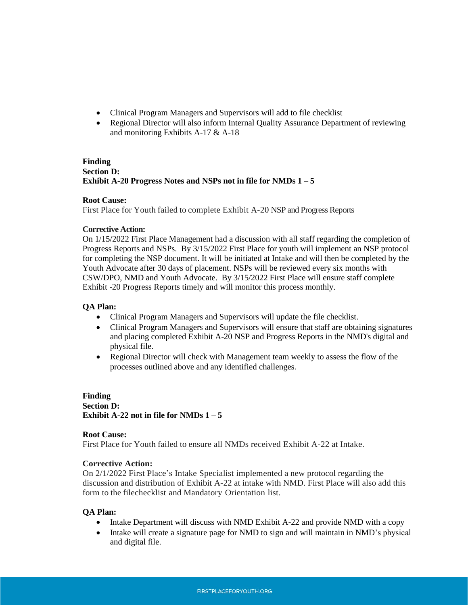- Clinical Program Managers and Supervisors will add to file checklist
- Regional Director will also inform Internal Quality Assurance Department of reviewing and monitoring Exhibits A-17 & A-18

# **Finding Section D: Exhibit A-20 Progress Notes and NSPs not in file for NMDs 1 – 5**

# **Root Cause:**

First Place for Youth failed to complete Exhibit A-20 NSP and Progress Reports

### **Corrective Action:**

On 1/15/2022 First Place Management had a discussion with all staff regarding the completion of Progress Reports and NSPs. By 3/15/2022 First Place for youth will implement an NSP protocol for completing the NSP document. It will be initiated at Intake and will then be completed by the Youth Advocate after 30 days of placement. NSPs will be reviewed every six months with CSW/DPO, NMD and Youth Advocate. By 3/15/2022 First Place will ensure staff complete Exhibit -20 Progress Reports timely and will monitor this process monthly.

# **QA Plan:**

- Clinical Program Managers and Supervisors will update the file checklist.
- Clinical Program Managers and Supervisors will ensure that staff are obtaining signatures and placing completed Exhibit A-20 NSP and Progress Reports in the NMD's digital and physical file.
- Regional Director will check with Management team weekly to assess the flow of the processes outlined above and any identified challenges.

# **Finding Section D: Exhibit**  $A-22$  **not in file for**  $NMDs$  $1-5$

#### **Root Cause:**

First Place for Youth failed to ensure all NMDs received Exhibit A-22 at Intake.

#### **Corrective Action:**

On 2/1/2022 First Place's Intake Specialist implemented a new protocol regarding the discussion and distribution of Exhibit A-22 at intake with NMD. First Place will also add this form to the filechecklist and Mandatory Orientation list.

- Intake Department will discuss with NMD Exhibit A-22 and provide NMD with a copy
- Intake will create a signature page for NMD to sign and will maintain in NMD's physical and digital file.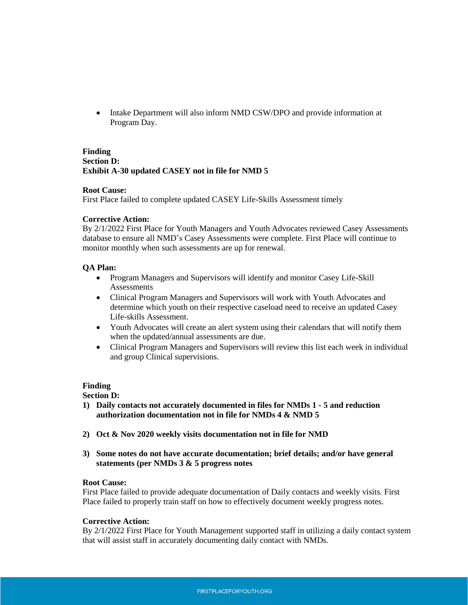• Intake Department will also inform NMD CSW/DPO and provide information at Program Day.

### **Finding Section D: Exhibit A-30 updated CASEY not in file for NMD 5**

#### **Root Cause:**

First Place failed to complete updated CASEY Life-Skills Assessment timely

## **Corrective Action:**

By 2/1/2022 First Place for Youth Managers and Youth Advocates reviewed Casey Assessments database to ensure all NMD's Casey Assessments were complete. First Place will continue to monitor monthly when such assessments are up for renewal.

# **QA Plan:**

- Program Managers and Supervisors will identify and monitor Casey Life-Skill Assessments
- Clinical Program Managers and Supervisors will work with Youth Advocates and determine which youth on their respective caseload need to receive an updated Casey Life-skills Assessment.
- Youth Advocates will create an alert system using their calendars that will notify them when the updated/annual assessments are due.
- Clinical Program Managers and Supervisors will review this list each week in individual and group Clinical supervisions.

#### **Finding**

#### **Section D:**

- **1) Daily contacts not accurately documented in files for NMDs 1 - 5 and reduction authorization documentation not in file for NMDs 4 & NMD 5**
- **2) Oct & Nov 2020 weekly visits documentation not in file for NMD**
- **3) Some notes do not have accurate documentation; brief details; and/or have general statements (per NMDs 3 & 5 progress notes**

#### **Root Cause:**

First Place failed to provide adequate documentation of Daily contacts and weekly visits. First Place failed to properly train staff on how to effectively document weekly progress notes.

#### **Corrective Action:**

By 2/1/2022 First Place for Youth Management supported staff in utilizing a daily contact system that will assist staff in accurately documenting daily contact with NMDs.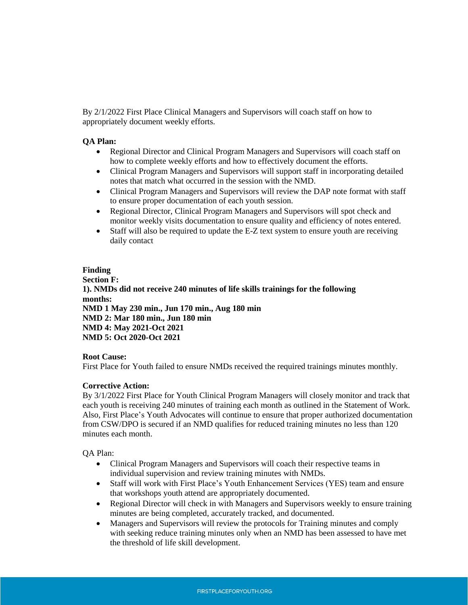By 2/1/2022 First Place Clinical Managers and Supervisors will coach staff on how to appropriately document weekly efforts.

# **QA Plan:**

- Regional Director and Clinical Program Managers and Supervisors will coach staff on how to complete weekly efforts and how to effectively document the efforts.
- Clinical Program Managers and Supervisors will support staff in incorporating detailed notes that match what occurred in the session with the NMD.
- Clinical Program Managers and Supervisors will review the DAP note format with staff to ensure proper documentation of each youth session.
- Regional Director, Clinical Program Managers and Supervisors will spot check and monitor weekly visits documentation to ensure quality and efficiency of notes entered.
- Staff will also be required to update the E-Z text system to ensure youth are receiving daily contact

#### **Finding**

**Section F: 1). NMDs did not receive 240 minutes of life skills trainings for the following months: NMD 1 May 230 min., Jun 170 min., Aug 180 min NMD 2: Mar 180 min., Jun 180 min NMD 4: May 2021-Oct 2021 NMD 5: Oct 2020-Oct 2021**

#### **Root Cause:**

First Place for Youth failed to ensure NMDs received the required trainings minutes monthly.

#### **Corrective Action:**

By 3/1/2022 First Place for Youth Clinical Program Managers will closely monitor and track that each youth is receiving 240 minutes of training each month as outlined in the Statement of Work. Also, First Place's Youth Advocates will continue to ensure that proper authorized documentation from CSW/DPO is secured if an NMD qualifies for reduced training minutes no less than 120 minutes each month.

- Clinical Program Managers and Supervisors will coach their respective teams in individual supervision and review training minutes with NMDs.
- Staff will work with First Place's Youth Enhancement Services (YES) team and ensure that workshops youth attend are appropriately documented.
- Regional Director will check in with Managers and Supervisors weekly to ensure training minutes are being completed, accurately tracked, and documented.
- Managers and Supervisors will review the protocols for Training minutes and comply with seeking reduce training minutes only when an NMD has been assessed to have met the threshold of life skill development.